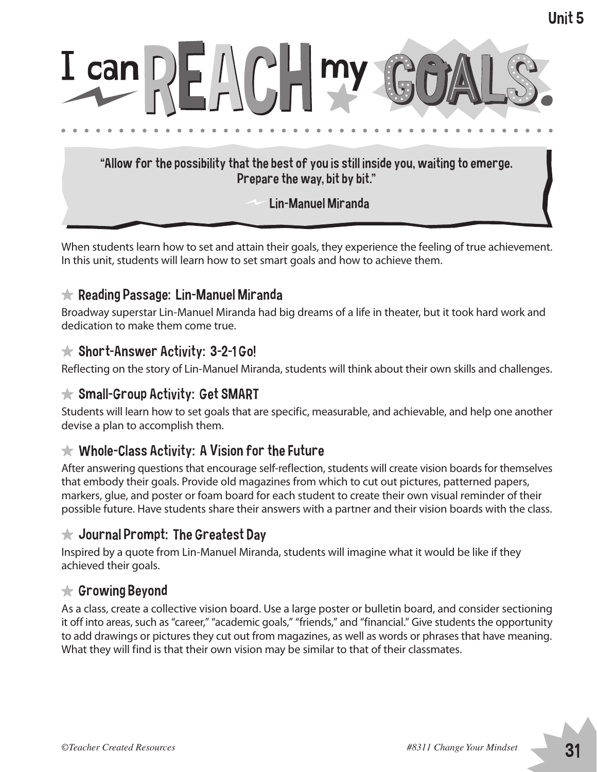

### "Allow for the possibility that the best of you is still inside you, waiting to emerge. Prepare the way, bit by bit."

### Lin-Manuel Miranda

When students learn how to set and attain their goals, they experience the feeling of true achievement. In this unit, students will learn how to set smart goals and how to achieve them.

# $\star$  Reading Passage: Lin-Manuel Miranda

Broadway superstar Lin-Manuel Miranda had big dreams of a life in theater, but it took hard work and dedication to make them come true.

### $\star$  Short-Answer Activity: 3-2-1 Go!

Reflecting on the story of Lin-Manuel Miranda, students will think about their own skills and challenges.

# $\star$  Small-Group Activity: Get SMART

Students will learn how to set goals that are specific, measurable, and achievable, and help one another devise a plan to accomplish them.

# $\star$  Whole-Class Activity: A Vision for the Future

After answering questions that encourage self-reflection, students will create vision boards for themselves that embody their goals. Provide old magazines from which to cut out pictures, patterned papers, markers, glue, and poster or foam board for each student to create their own visual reminder of their possible future. Have students share their answers with a partner and their vision boards with the class.

# $\star$  Journal Prompt: The Greatest Day

Inspired by a quote from Lin-Manuel Miranda, students will imagine what it would be like if they achieved their goals.

# $\star$  Growing Beyond

As a class, create a collective vision board. Use a large poster or bulletin board, and consider sectioning it off into areas, such as "career," "academic goals," "friends," and "financial." Give students the opportunity to add drawings or pictures they cut out from magazines, as well as words or phrases that have meaning. What they will find is that their own vision may be similar to that of their classmates.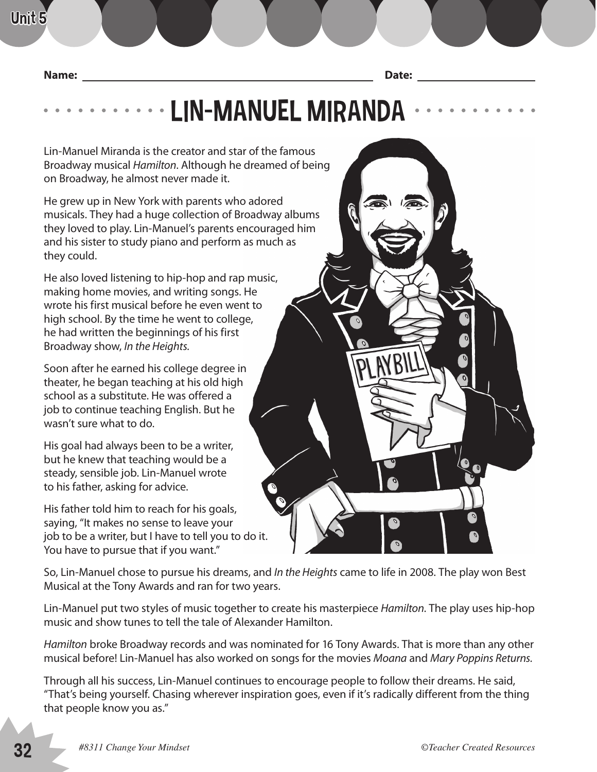

**Name: Date: Date: Date: Date: Date: Date: Date: Date: Date: Date: Date: Date: Date: Date: Date: Date: Date: Date: Date: Date: Date: Date: Date: Date: Date: Date: Date:** 

# **LIN-MANUEL MIRANDA**

Lin-Manuel Miranda is the creator and star of the famous Broadway musical *Hamilton*. Although he dreamed of being on Broadway, he almost never made it.

He grew up in New York with parents who adored musicals. They had a huge collection of Broadway albums they loved to play. Lin-Manuel's parents encouraged him and his sister to study piano and perform as much as they could.

He also loved listening to hip-hop and rap music, making home movies, and writing songs. He wrote his first musical before he even went to high school. By the time he went to college, he had written the beginnings of his first Broadway show, *In the Heights.* 

Soon after he earned his college degree in theater, he began teaching at his old high school as a substitute. He was offered a job to continue teaching English. But he wasn't sure what to do.

His goal had always been to be a writer, but he knew that teaching would be a steady, sensible job. Lin-Manuel wrote to his father, asking for advice.

His father told him to reach for his goals, saying, "It makes no sense to leave your job to be a writer, but I have to tell you to do it. You have to pursue that if you want."

So, Lin-Manuel chose to pursue his dreams, and *In the Heights* came to life in 2008. The play won Best Musical at the Tony Awards and ran for two years.

Lin-Manuel put two styles of music together to create his masterpiece *Hamilton*. The play uses hip-hop music and show tunes to tell the tale of Alexander Hamilton.

*Hamilton* broke Broadway records and was nominated for 16 Tony Awards. That is more than any other musical before! Lin-Manuel has also worked on songs for the movies *Moana* and *Mary Poppins Returns.*

Through all his success, Lin-Manuel continues to encourage people to follow their dreams. He said, "That's being yourself. Chasing wherever inspiration goes, even if it's radically different from the thing that people know you as."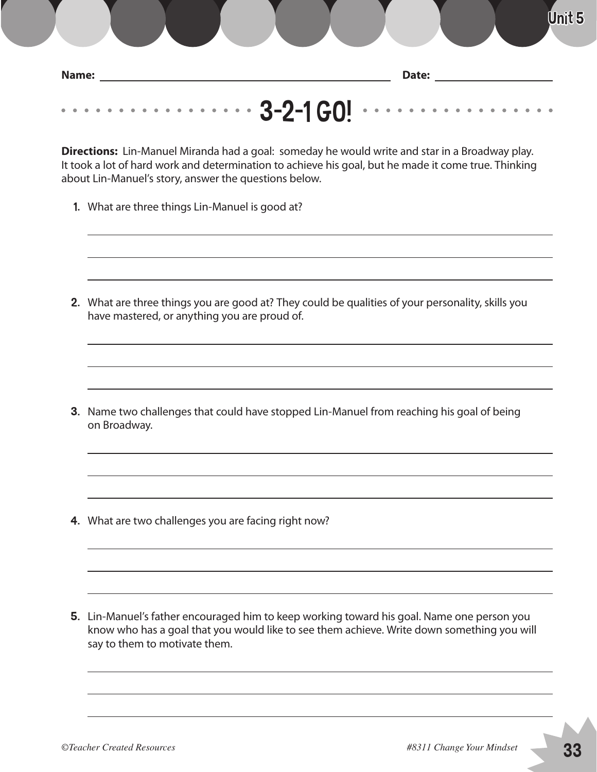

**Directions:** Lin-Manuel Miranda had a goal: someday he would write and star in a Broadway play. It took a lot of hard work and determination to achieve his goal, but he made it come true. Thinking about Lin-Manuel's story, answer the questions below.

1. What are three things Lin-Manuel is good at?

2. What are three things you are good at? They could be qualities of your personality, skills you have mastered, or anything you are proud of.

3. Name two challenges that could have stopped Lin-Manuel from reaching his goal of being on Broadway.

4. What are two challenges you are facing right now?

5. Lin-Manuel's father encouraged him to keep working toward his goal. Name one person you know who has a goal that you would like to see them achieve. Write down something you will say to them to motivate them.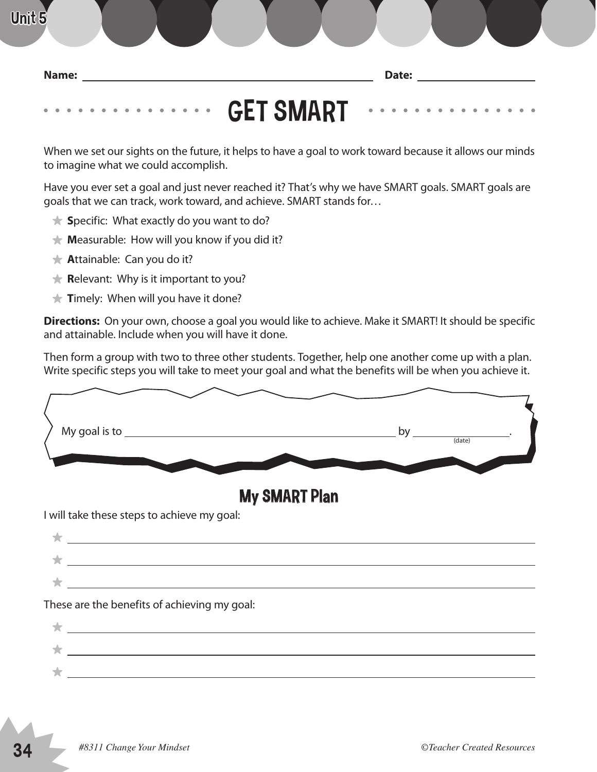| Unit 5 |           |       |  |  |
|--------|-----------|-------|--|--|
| Name:  |           | Date: |  |  |
|        | GET SMART |       |  |  |

When we set our sights on the future, it helps to have a goal to work toward because it allows our minds to imagine what we could accomplish.

Have you ever set a goal and just never reached it? That's why we have SMART goals. SMART goals are goals that we can track, work toward, and achieve. SMART stands for…

- **★ Specific: What exactly do you want to do?**
- $\star$  **Measurable:** How will you know if you did it?
- **★ Attainable: Can you do it?**
- $\star$  **Relevant:** Why is it important to you?
- **★ Timely: When will you have it done?**

**Directions:** On your own, choose a goal you would like to achieve. Make it SMART! It should be specific and attainable. Include when you will have it done.

Then form a group with two to three other students. Together, help one another come up with a plan. Write specific steps you will take to meet your goal and what the benefits will be when you achieve it.

| My goal is to the state of the state of the state of the state of the state of the state of the state of the state of the state of the state of the state of the state of the state of the state of the state of the state of | by                   | (date) |
|-------------------------------------------------------------------------------------------------------------------------------------------------------------------------------------------------------------------------------|----------------------|--------|
| I will take these steps to achieve my goal:                                                                                                                                                                                   | <b>My SMART Plan</b> |        |
| <u> 1989 - Johann Stoff, deutscher Stoff, der Stoff, der Stoff, der Stoff, der Stoff, der Stoff, der Stoff, der S</u>                                                                                                         |                      |        |
| <u> 1988 - Johann Stoff, deutscher Stoffen und der Stoffen und der Stoffen und der Stoffen und der Stoffen und de</u>                                                                                                         |                      |        |
| <u> 1980 - Johann John Stone, markin film yn y brening yn y brening yn y brening yn y brening y brening yn y bre</u>                                                                                                          |                      |        |
| These are the benefits of achieving my goal:                                                                                                                                                                                  |                      |        |
|                                                                                                                                                                                                                               |                      |        |
|                                                                                                                                                                                                                               |                      |        |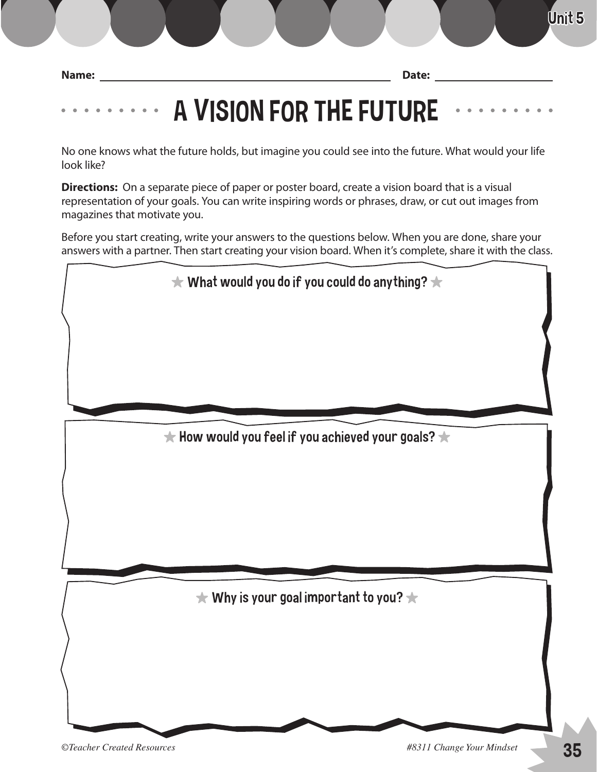# $\cdots$  A VISION FOR THE FUTURE

No one knows what the future holds, but imagine you could see into the future. What would your life look like?

**Directions:** On a separate piece of paper or poster board, create a vision board that is a visual representation of your goals. You can write inspiring words or phrases, draw, or cut out images from magazines that motivate you.

Before you start creating, write your answers to the questions below. When you are done, share your answers with a partner. Then start creating your vision board. When it's complete, share it with the class.